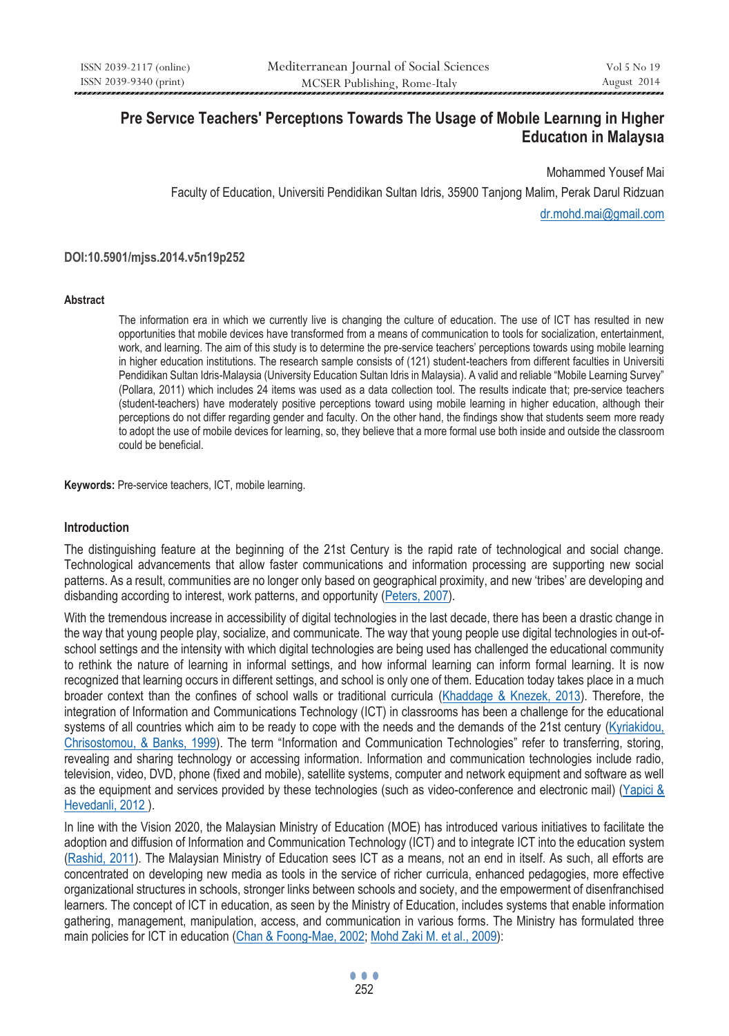# **Pre Servıce Teachers' Perceptıons Towards The Usage of Mobıle Learnıng in Hıgher Educatıon in Malaysıa**

Mohammed Yousef Mai Faculty of Education, Universiti Pendidikan Sultan Idris, 35900 Tanjong Malim, Perak Darul Ridzuan dr.mohd.mai@gmail.com

#### **DOI:10.5901/mjss.2014.v5n19p252**

#### **Abstract**

The information era in which we currently live is changing the culture of education. The use of ICT has resulted in new opportunities that mobile devices have transformed from a means of communication to tools for socialization, entertainment, work, and learning. The aim of this study is to determine the pre-service teachers' perceptions towards using mobile learning in higher education institutions. The research sample consists of (121) student-teachers from different faculties in Universiti Pendidikan Sultan Idris-Malaysia (University Education Sultan Idris in Malaysia). A valid and reliable "Mobile Learning Survey" (Pollara, 2011) which includes 24 items was used as a data collection tool. The results indicate that; pre-service teachers (student-teachers) have moderately positive perceptions toward using mobile learning in higher education, although their perceptions do not differ regarding gender and faculty. On the other hand, the findings show that students seem more ready to adopt the use of mobile devices for learning, so, they believe that a more formal use both inside and outside the classroom could be beneficial.

**Keywords:** Pre-service teachers, ICT, mobile learning.

#### **Introduction**

The distinguishing feature at the beginning of the 21st Century is the rapid rate of technological and social change. Technological advancements that allow faster communications and information processing are supporting new social patterns. As a result, communities are no longer only based on geographical proximity, and new 'tribes' are developing and disbanding according to interest, work patterns, and opportunity (Peters, 2007).

With the tremendous increase in accessibility of digital technologies in the last decade, there has been a drastic change in the way that young people play, socialize, and communicate. The way that young people use digital technologies in out-ofschool settings and the intensity with which digital technologies are being used has challenged the educational community to rethink the nature of learning in informal settings, and how informal learning can inform formal learning. It is now recognized that learning occurs in different settings, and school is only one of them. Education today takes place in a much broader context than the confines of school walls or traditional curricula (Khaddage & Knezek, 2013). Therefore, the integration of Information and Communications Technology (ICT) in classrooms has been a challenge for the educational systems of all countries which aim to be ready to cope with the needs and the demands of the 21st century (Kyriakidou, Chrisostomou, & Banks, 1999). The term "Information and Communication Technologies" refer to transferring, storing, revealing and sharing technology or accessing information. Information and communication technologies include radio, television, video, DVD, phone (fixed and mobile), satellite systems, computer and network equipment and software as well as the equipment and services provided by these technologies (such as video-conference and electronic mail) (Yapici & Hevedanli, 2012 ).

In line with the Vision 2020, the Malaysian Ministry of Education (MOE) has introduced various initiatives to facilitate the adoption and diffusion of Information and Communication Technology (ICT) and to integrate ICT into the education system (Rashid, 2011). The Malaysian Ministry of Education sees ICT as a means, not an end in itself. As such, all efforts are concentrated on developing new media as tools in the service of richer curricula, enhanced pedagogies, more effective organizational structures in schools, stronger links between schools and society, and the empowerment of disenfranchised learners. The concept of ICT in education, as seen by the Ministry of Education, includes systems that enable information gathering, management, manipulation, access, and communication in various forms. The Ministry has formulated three main policies for ICT in education (Chan & Foong-Mae, 2002; Mohd Zaki M. et al., 2009):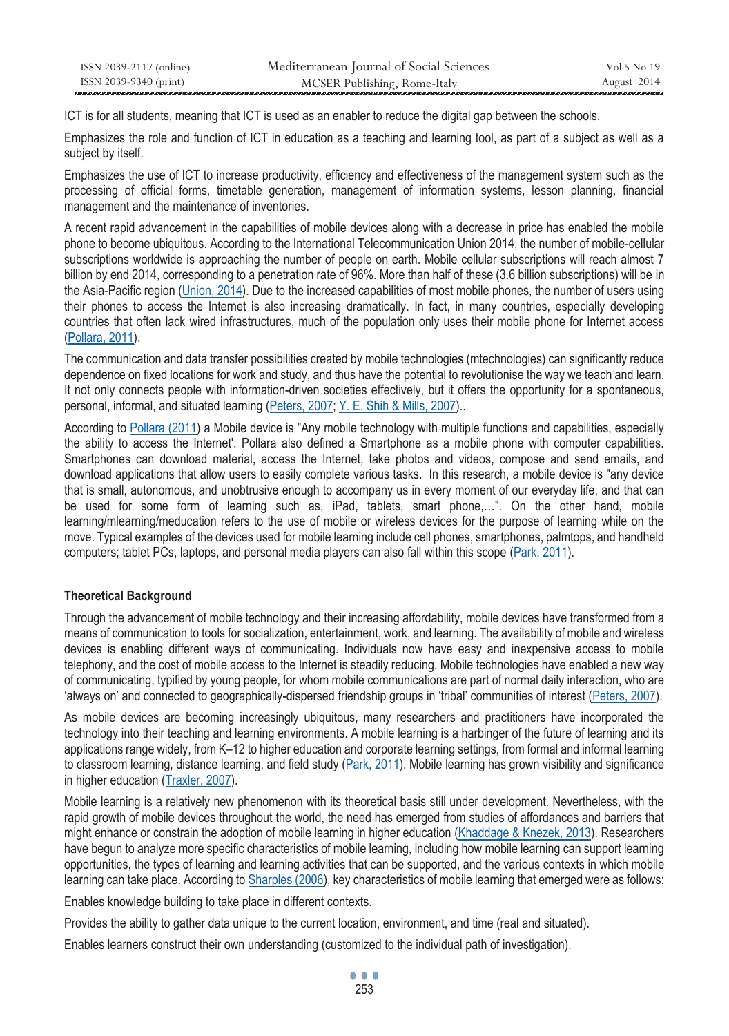| ISSN 2039-2117 (online) | Mediterranean Journal of Social Sciences | Vol 5 No 19 |
|-------------------------|------------------------------------------|-------------|
| ISSN 2039-9340 (print)  | MCSER Publishing, Rome-Italy             | August 2014 |

ICT is for all students, meaning that ICT is used as an enabler to reduce the digital gap between the schools.

Emphasizes the role and function of ICT in education as a teaching and learning tool, as part of a subject as well as a subject by itself.

Emphasizes the use of ICT to increase productivity, efficiency and effectiveness of the management system such as the processing of official forms, timetable generation, management of information systems, lesson planning, financial management and the maintenance of inventories.

A recent rapid advancement in the capabilities of mobile devices along with a decrease in price has enabled the mobile phone to become ubiquitous. According to the International Telecommunication Union 2014, the number of mobile-cellular subscriptions worldwide is approaching the number of people on earth. Mobile cellular subscriptions will reach almost 7 billion by end 2014, corresponding to a penetration rate of 96%. More than half of these (3.6 billion subscriptions) will be in the Asia-Pacific region (Union, 2014). Due to the increased capabilities of most mobile phones, the number of users using their phones to access the Internet is also increasing dramatically. In fact, in many countries, especially developing countries that often lack wired infrastructures, much of the population only uses their mobile phone for Internet access (Pollara, 2011).

The communication and data transfer possibilities created by mobile technologies (mtechnologies) can significantly reduce dependence on fixed locations for work and study, and thus have the potential to revolutionise the way we teach and learn. It not only connects people with information-driven societies effectively, but it offers the opportunity for a spontaneous, personal, informal, and situated learning (Peters, 2007; Y. E. Shih & Mills, 2007)..

According to Pollara (2011) a Mobile device is "Any mobile technology with multiple functions and capabilities, especially the ability to access the Internet'. Pollara also defined a Smartphone as a mobile phone with computer capabilities. Smartphones can download material, access the Internet, take photos and videos, compose and send emails, and download applications that allow users to easily complete various tasks. In this research, a mobile device is "any device that is small, autonomous, and unobtrusive enough to accompany us in every moment of our everyday life, and that can be used for some form of learning such as, iPad, tablets, smart phone,…". On the other hand, mobile learning/mlearning/meducation refers to the use of mobile or wireless devices for the purpose of learning while on the move. Typical examples of the devices used for mobile learning include cell phones, smartphones, palmtops, and handheld computers; tablet PCs, laptops, and personal media players can also fall within this scope (Park, 2011).

# **Theoretical Background**

Through the advancement of mobile technology and their increasing affordability, mobile devices have transformed from a means of communication to tools for socialization, entertainment, work, and learning. The availability of mobile and wireless devices is enabling different ways of communicating. Individuals now have easy and inexpensive access to mobile telephony, and the cost of mobile access to the Internet is steadily reducing. Mobile technologies have enabled a new way of communicating, typified by young people, for whom mobile communications are part of normal daily interaction, who are 'always on' and connected to geographically-dispersed friendship groups in 'tribal' communities of interest (Peters, 2007).

As mobile devices are becoming increasingly ubiquitous, many researchers and practitioners have incorporated the technology into their teaching and learning environments. A mobile learning is a harbinger of the future of learning and its applications range widely, from K–12 to higher education and corporate learning settings, from formal and informal learning to classroom learning, distance learning, and field study (Park, 2011). Mobile learning has grown visibility and significance in higher education (Traxler, 2007).

Mobile learning is a relatively new phenomenon with its theoretical basis still under development. Nevertheless, with the rapid growth of mobile devices throughout the world, the need has emerged from studies of affordances and barriers that might enhance or constrain the adoption of mobile learning in higher education (Khaddage & Knezek, 2013). Researchers have begun to analyze more specific characteristics of mobile learning, including how mobile learning can support learning opportunities, the types of learning and learning activities that can be supported, and the various contexts in which mobile learning can take place. According to Sharples (2006), key characteristics of mobile learning that emerged were as follows:

Enables knowledge building to take place in different contexts.

Provides the ability to gather data unique to the current location, environment, and time (real and situated).

Enables learners construct their own understanding (customized to the individual path of investigation).

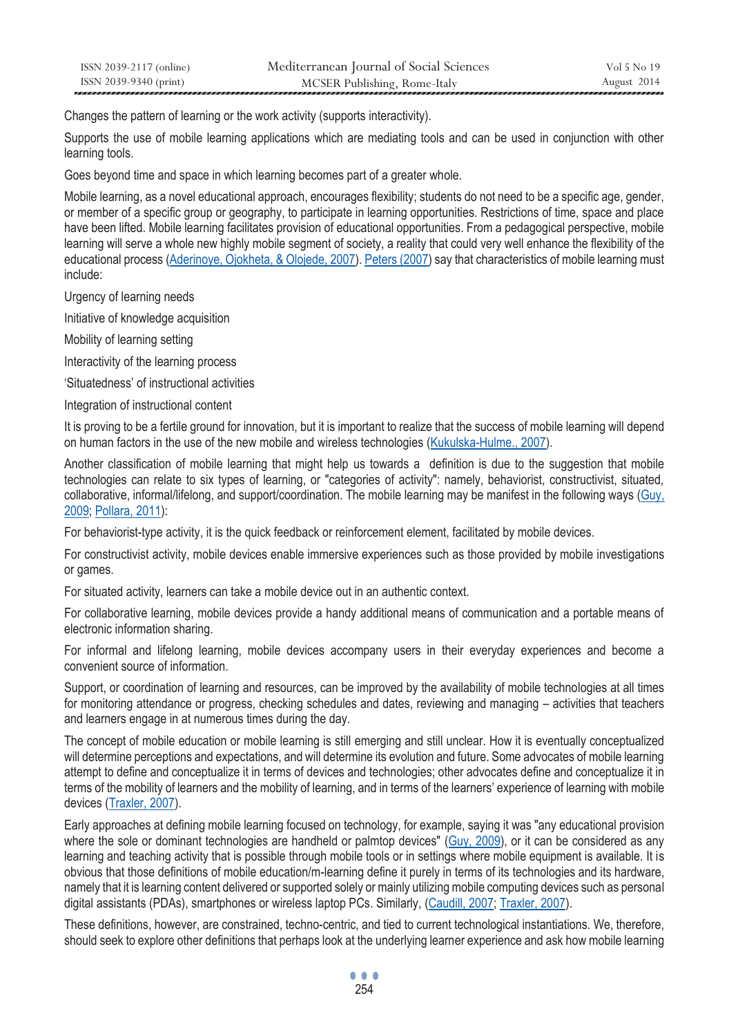| ISSN 2039-2117 (online) | Mediterranean Journal of Social Sciences | Vol 5 No 19 |
|-------------------------|------------------------------------------|-------------|
| ISSN 2039-9340 (print)  | MCSER Publishing, Rome-Italy             | August 2014 |

Changes the pattern of learning or the work activity (supports interactivity).

Supports the use of mobile learning applications which are mediating tools and can be used in conjunction with other learning tools.

Goes beyond time and space in which learning becomes part of a greater whole.

Mobile learning, as a novel educational approach, encourages flexibility; students do not need to be a specific age, gender, or member of a specific group or geography, to participate in learning opportunities. Restrictions of time, space and place have been lifted. Mobile learning facilitates provision of educational opportunities. From a pedagogical perspective, mobile learning will serve a whole new highly mobile segment of society, a reality that could very well enhance the flexibility of the educational process (Aderinoye, Ojokheta, & Olojede, 2007). Peters (2007) say that characteristics of mobile learning must include:

Urgency of learning needs

Initiative of knowledge acquisition

Mobility of learning setting

Interactivity of the learning process

'Situatedness' of instructional activities

Integration of instructional content

It is proving to be a fertile ground for innovation, but it is important to realize that the success of mobile learning will depend on human factors in the use of the new mobile and wireless technologies (Kukulska-Hulme., 2007).

Another classification of mobile learning that might help us towards a definition is due to the suggestion that mobile technologies can relate to six types of learning, or "categories of activity": namely, behaviorist, constructivist, situated, collaborative, informal/lifelong, and support/coordination. The mobile learning may be manifest in the following ways (Guy, 2009; Pollara, 2011):

For behaviorist-type activity, it is the quick feedback or reinforcement element, facilitated by mobile devices.

For constructivist activity, mobile devices enable immersive experiences such as those provided by mobile investigations or games.

For situated activity, learners can take a mobile device out in an authentic context.

For collaborative learning, mobile devices provide a handy additional means of communication and a portable means of electronic information sharing.

For informal and lifelong learning, mobile devices accompany users in their everyday experiences and become a convenient source of information.

Support, or coordination of learning and resources, can be improved by the availability of mobile technologies at all times for monitoring attendance or progress, checking schedules and dates, reviewing and managing – activities that teachers and learners engage in at numerous times during the day.

The concept of mobile education or mobile learning is still emerging and still unclear. How it is eventually conceptualized will determine perceptions and expectations, and will determine its evolution and future. Some advocates of mobile learning attempt to define and conceptualize it in terms of devices and technologies; other advocates define and conceptualize it in terms of the mobility of learners and the mobility of learning, and in terms of the learners' experience of learning with mobile devices (Traxler, 2007).

Early approaches at defining mobile learning focused on technology, for example, saying it was "any educational provision where the sole or dominant technologies are handheld or palmtop devices" (Guy, 2009), or it can be considered as any learning and teaching activity that is possible through mobile tools or in settings where mobile equipment is available. It is obvious that those definitions of mobile education/m-learning define it purely in terms of its technologies and its hardware, namely that it is learning content delivered or supported solely or mainly utilizing mobile computing devices such as personal digital assistants (PDAs), smartphones or wireless laptop PCs. Similarly, (Caudill, 2007; Traxler, 2007).

These definitions, however, are constrained, techno-centric, and tied to current technological instantiations. We, therefore, should seek to explore other definitions that perhaps look at the underlying learner experience and ask how mobile learning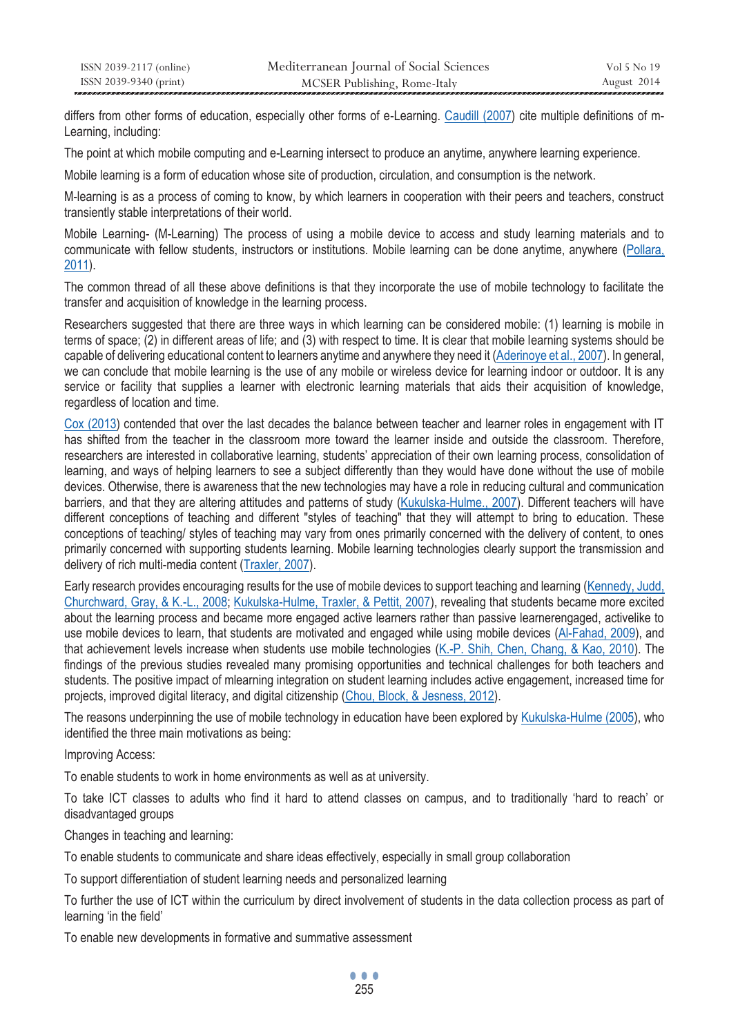differs from other forms of education, especially other forms of e-Learning. Caudill (2007) cite multiple definitions of m-Learning, including:

The point at which mobile computing and e-Learning intersect to produce an anytime, anywhere learning experience.

Mobile learning is a form of education whose site of production, circulation, and consumption is the network.

M-learning is as a process of coming to know, by which learners in cooperation with their peers and teachers, construct transiently stable interpretations of their world.

Mobile Learning- (M-Learning) The process of using a mobile device to access and study learning materials and to communicate with fellow students, instructors or institutions. Mobile learning can be done anytime, anywhere (Pollara, 2011).

The common thread of all these above definitions is that they incorporate the use of mobile technology to facilitate the transfer and acquisition of knowledge in the learning process.

Researchers suggested that there are three ways in which learning can be considered mobile: (1) learning is mobile in terms of space; (2) in different areas of life; and (3) with respect to time. It is clear that mobile learning systems should be capable of delivering educational content to learners anytime and anywhere they need it (Aderinoye et al., 2007). In general, we can conclude that mobile learning is the use of any mobile or wireless device for learning indoor or outdoor. It is any service or facility that supplies a learner with electronic learning materials that aids their acquisition of knowledge, regardless of location and time.

Cox (2013) contended that over the last decades the balance between teacher and learner roles in engagement with IT has shifted from the teacher in the classroom more toward the learner inside and outside the classroom. Therefore, researchers are interested in collaborative learning, students' appreciation of their own learning process, consolidation of learning, and ways of helping learners to see a subject differently than they would have done without the use of mobile devices. Otherwise, there is awareness that the new technologies may have a role in reducing cultural and communication barriers, and that they are altering attitudes and patterns of study (Kukulska-Hulme., 2007). Different teachers will have different conceptions of teaching and different "styles of teaching" that they will attempt to bring to education. These conceptions of teaching/ styles of teaching may vary from ones primarily concerned with the delivery of content, to ones primarily concerned with supporting students learning. Mobile learning technologies clearly support the transmission and delivery of rich multi-media content (Traxler, 2007).

Early research provides encouraging results for the use of mobile devices to support teaching and learning (Kennedy, Judd, Churchward, Gray, & K.-L., 2008; Kukulska-Hulme, Traxler, & Pettit, 2007), revealing that students became more excited about the learning process and became more engaged active learners rather than passive learnerengaged, activelike to use mobile devices to learn, that students are motivated and engaged while using mobile devices (Al-Fahad, 2009), and that achievement levels increase when students use mobile technologies (K.-P. Shih, Chen, Chang, & Kao, 2010). The findings of the previous studies revealed many promising opportunities and technical challenges for both teachers and students. The positive impact of mlearning integration on student learning includes active engagement, increased time for projects, improved digital literacy, and digital citizenship (Chou, Block, & Jesness, 2012).

The reasons underpinning the use of mobile technology in education have been explored by Kukulska-Hulme (2005), who identified the three main motivations as being:

Improving Access:

To enable students to work in home environments as well as at university.

To take ICT classes to adults who find it hard to attend classes on campus, and to traditionally 'hard to reach' or disadvantaged groups

Changes in teaching and learning:

To enable students to communicate and share ideas effectively, especially in small group collaboration

To support differentiation of student learning needs and personalized learning

To further the use of ICT within the curriculum by direct involvement of students in the data collection process as part of learning 'in the field'

To enable new developments in formative and summative assessment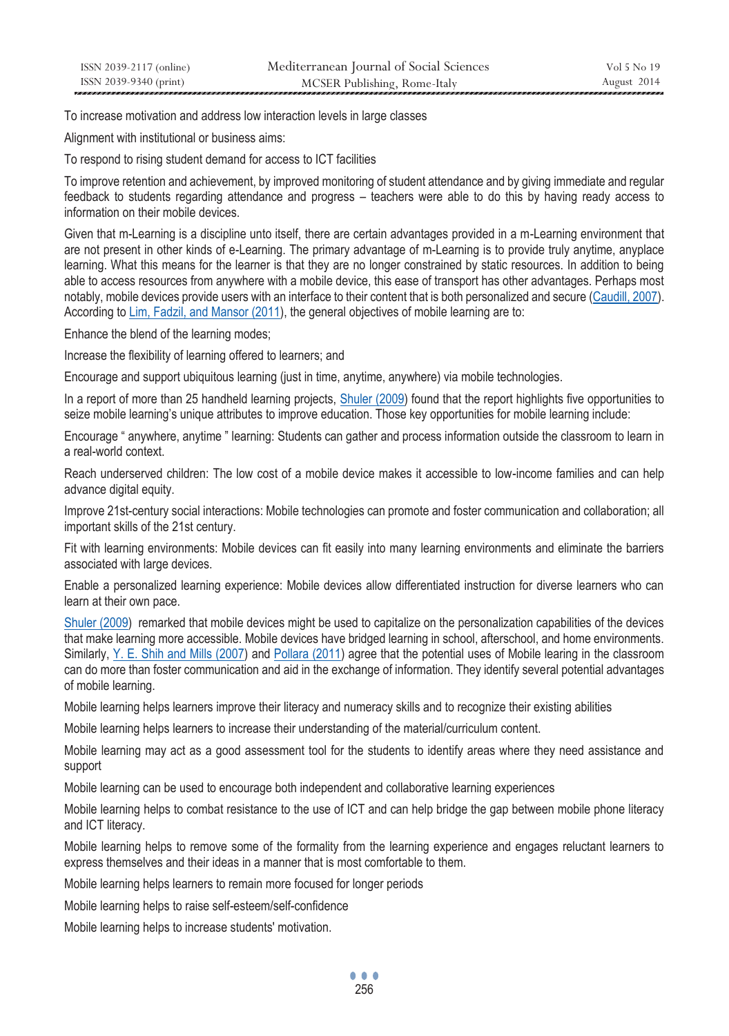To increase motivation and address low interaction levels in large classes

Alignment with institutional or business aims:

To respond to rising student demand for access to ICT facilities

To improve retention and achievement, by improved monitoring of student attendance and by giving immediate and regular feedback to students regarding attendance and progress – teachers were able to do this by having ready access to information on their mobile devices.

Given that m-Learning is a discipline unto itself, there are certain advantages provided in a m-Learning environment that are not present in other kinds of e-Learning. The primary advantage of m-Learning is to provide truly anytime, anyplace learning. What this means for the learner is that they are no longer constrained by static resources. In addition to being able to access resources from anywhere with a mobile device, this ease of transport has other advantages. Perhaps most notably, mobile devices provide users with an interface to their content that is both personalized and secure (Caudill, 2007). According to Lim, Fadzil, and Mansor (2011), the general objectives of mobile learning are to:

Enhance the blend of the learning modes;

Increase the flexibility of learning offered to learners; and

Encourage and support ubiquitous learning (just in time, anytime, anywhere) via mobile technologies.

In a report of more than 25 handheld learning projects, Shuler (2009) found that the report highlights five opportunities to seize mobile learning's unique attributes to improve education. Those key opportunities for mobile learning include:

Encourage " anywhere, anytime " learning: Students can gather and process information outside the classroom to learn in a real-world context.

Reach underserved children: The low cost of a mobile device makes it accessible to low-income families and can help advance digital equity.

Improve 21st-century social interactions: Mobile technologies can promote and foster communication and collaboration; all important skills of the 21st century.

Fit with learning environments: Mobile devices can fit easily into many learning environments and eliminate the barriers associated with large devices.

Enable a personalized learning experience: Mobile devices allow differentiated instruction for diverse learners who can learn at their own pace.

Shuler (2009) remarked that mobile devices might be used to capitalize on the personalization capabilities of the devices that make learning more accessible. Mobile devices have bridged learning in school, afterschool, and home environments. Similarly, Y. E. Shih and Mills (2007) and Pollara (2011) agree that the potential uses of Mobile learing in the classroom can do more than foster communication and aid in the exchange of information. They identify several potential advantages of mobile learning.

Mobile learning helps learners improve their literacy and numeracy skills and to recognize their existing abilities

Mobile learning helps learners to increase their understanding of the material/curriculum content.

Mobile learning may act as a good assessment tool for the students to identify areas where they need assistance and support

Mobile learning can be used to encourage both independent and collaborative learning experiences

Mobile learning helps to combat resistance to the use of ICT and can help bridge the gap between mobile phone literacy and ICT literacy.

Mobile learning helps to remove some of the formality from the learning experience and engages reluctant learners to express themselves and their ideas in a manner that is most comfortable to them.

Mobile learning helps learners to remain more focused for longer periods

Mobile learning helps to raise self-esteem/self-confidence

Mobile learning helps to increase students' motivation.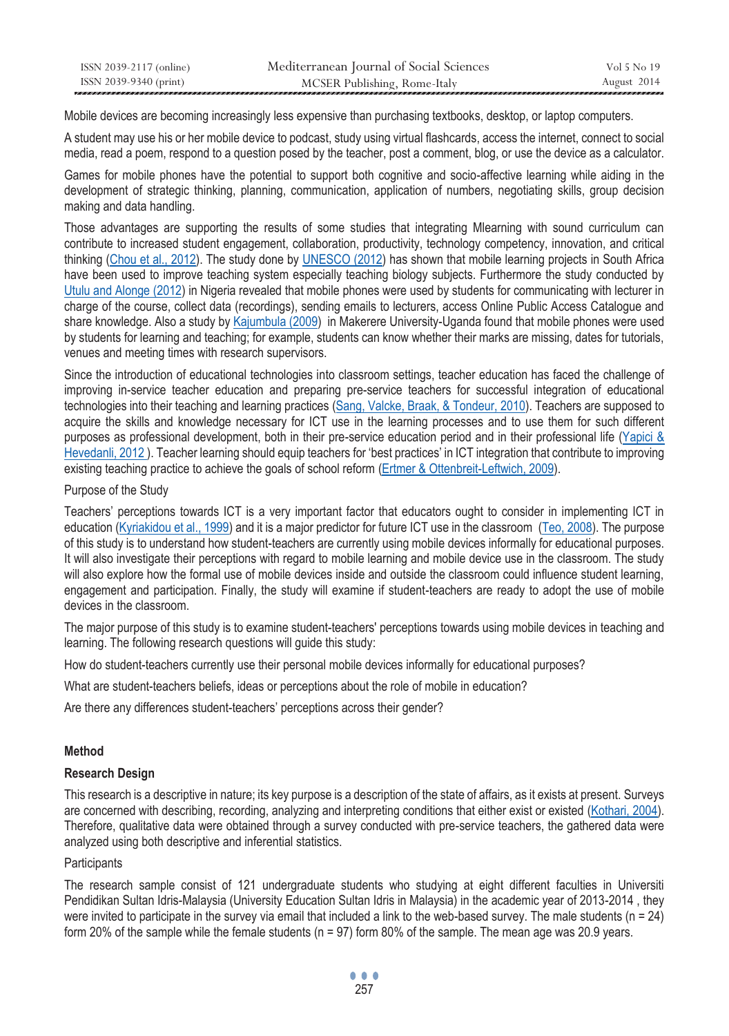| ISSN 2039-2117 (online) | Mediterranean Journal of Social Sciences | Vol 5 No 19 |
|-------------------------|------------------------------------------|-------------|
| ISSN 2039-9340 (print)  | MCSER Publishing, Rome-Italy             | August 2014 |

Mobile devices are becoming increasingly less expensive than purchasing textbooks, desktop, or laptop computers.

A student may use his or her mobile device to podcast, study using virtual flashcards, access the internet, connect to social media, read a poem, respond to a question posed by the teacher, post a comment, blog, or use the device as a calculator.

Games for mobile phones have the potential to support both cognitive and socio-affective learning while aiding in the development of strategic thinking, planning, communication, application of numbers, negotiating skills, group decision making and data handling.

Those advantages are supporting the results of some studies that integrating Mlearning with sound curriculum can contribute to increased student engagement, collaboration, productivity, technology competency, innovation, and critical thinking (Chou et al., 2012). The study done by UNESCO (2012) has shown that mobile learning projects in South Africa have been used to improve teaching system especially teaching biology subjects. Furthermore the study conducted by Utulu and Alonge (2012) in Nigeria revealed that mobile phones were used by students for communicating with lecturer in charge of the course, collect data (recordings), sending emails to lecturers, access Online Public Access Catalogue and share knowledge. Also a study by Kajumbula (2009) in Makerere University-Uganda found that mobile phones were used by students for learning and teaching; for example, students can know whether their marks are missing, dates for tutorials, venues and meeting times with research supervisors.

Since the introduction of educational technologies into classroom settings, teacher education has faced the challenge of improving in-service teacher education and preparing pre-service teachers for successful integration of educational technologies into their teaching and learning practices (Sang, Valcke, Braak, & Tondeur, 2010). Teachers are supposed to acquire the skills and knowledge necessary for ICT use in the learning processes and to use them for such different purposes as professional development, both in their pre-service education period and in their professional life (Yapici & Hevedanli, 2012 ). Teacher learning should equip teachers for 'best practices' in ICT integration that contribute to improving existing teaching practice to achieve the goals of school reform (Ertmer & Ottenbreit-Leftwich, 2009).

### Purpose of the Study

Teachers' perceptions towards ICT is a very important factor that educators ought to consider in implementing ICT in education (Kyriakidou et al., 1999) and it is a major predictor for future ICT use in the classroom (Teo, 2008). The purpose of this study is to understand how student-teachers are currently using mobile devices informally for educational purposes. It will also investigate their perceptions with regard to mobile learning and mobile device use in the classroom. The study will also explore how the formal use of mobile devices inside and outside the classroom could influence student learning, engagement and participation. Finally, the study will examine if student-teachers are ready to adopt the use of mobile devices in the classroom.

The major purpose of this study is to examine student-teachers' perceptions towards using mobile devices in teaching and learning. The following research questions will guide this study:

How do student-teachers currently use their personal mobile devices informally for educational purposes?

What are student-teachers beliefs, ideas or perceptions about the role of mobile in education?

Are there any differences student-teachers' perceptions across their gender?

### **Method**

### **Research Design**

This research is a descriptive in nature; its key purpose is a description of the state of affairs, as it exists at present. Surveys are concerned with describing, recording, analyzing and interpreting conditions that either exist or existed (Kothari, 2004). Therefore, qualitative data were obtained through a survey conducted with pre-service teachers, the gathered data were analyzed using both descriptive and inferential statistics.

### **Participants**

The research sample consist of 121 undergraduate students who studying at eight different faculties in Universiti Pendidikan Sultan Idris-Malaysia (University Education Sultan Idris in Malaysia) in the academic year of 2013-2014 , they were invited to participate in the survey via email that included a link to the web-based survey. The male students ( $n = 24$ ) form 20% of the sample while the female students (n = 97) form 80% of the sample. The mean age was 20.9 years.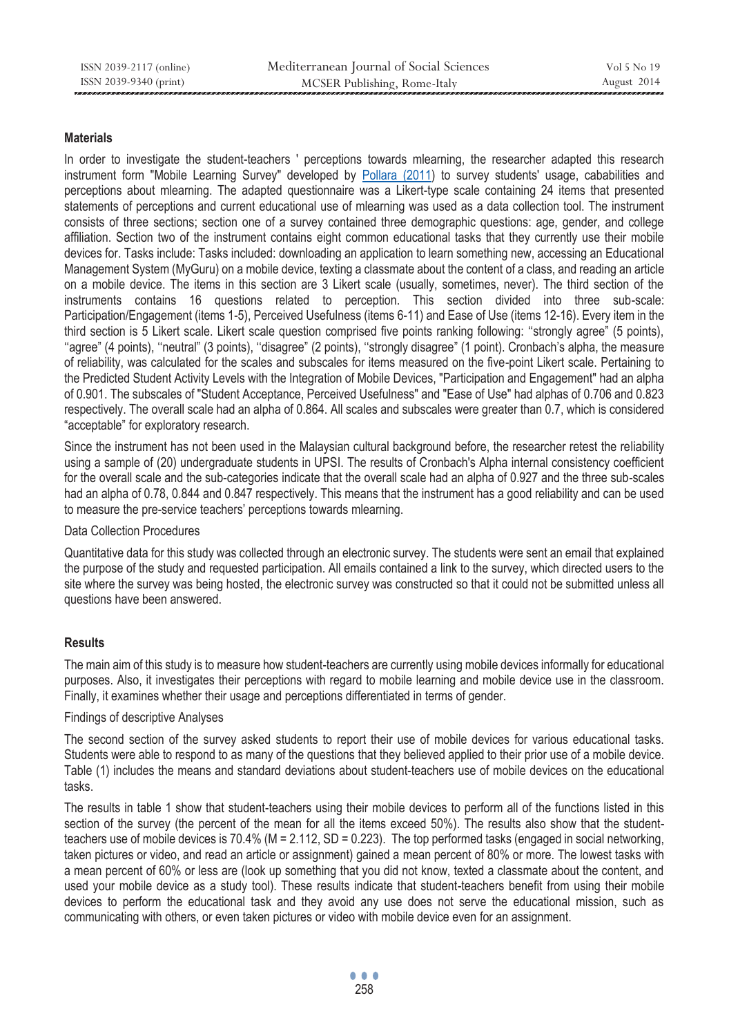### **Materials**

In order to investigate the student-teachers ' perceptions towards mlearning, the researcher adapted this research instrument form "Mobile Learning Survey" developed by Pollara (2011) to survey students' usage, cababilities and perceptions about mlearning. The adapted questionnaire was a Likert-type scale containing 24 items that presented statements of perceptions and current educational use of mlearning was used as a data collection tool. The instrument consists of three sections; section one of a survey contained three demographic questions: age, gender, and college affiliation. Section two of the instrument contains eight common educational tasks that they currently use their mobile devices for. Tasks include: Tasks included: downloading an application to learn something new, accessing an Educational Management System (MyGuru) on a mobile device, texting a classmate about the content of a class, and reading an article on a mobile device. The items in this section are 3 Likert scale (usually, sometimes, never). The third section of the instruments contains 16 questions related to perception. This section divided into three sub-scale: Participation/Engagement (items 1-5), Perceived Usefulness (items 6-11) and Ease of Use (items 12-16). Every item in the third section is 5 Likert scale. Likert scale question comprised five points ranking following: ''strongly agree" (5 points), ''agree" (4 points), ''neutral" (3 points), ''disagree" (2 points), ''strongly disagree" (1 point). Cronbach's alpha, the measure of reliability, was calculated for the scales and subscales for items measured on the five-point Likert scale. Pertaining to the Predicted Student Activity Levels with the Integration of Mobile Devices, "Participation and Engagement" had an alpha of 0.901. The subscales of "Student Acceptance, Perceived Usefulness" and "Ease of Use" had alphas of 0.706 and 0.823 respectively. The overall scale had an alpha of 0.864. All scales and subscales were greater than 0.7, which is considered "acceptable" for exploratory research.

Since the instrument has not been used in the Malaysian cultural background before, the researcher retest the reliability using a sample of (20) undergraduate students in UPSI. The results of Cronbach's Alpha internal consistency coefficient for the overall scale and the sub-categories indicate that the overall scale had an alpha of 0.927 and the three sub-scales had an alpha of 0.78, 0.844 and 0.847 respectively. This means that the instrument has a good reliability and can be used to measure the pre-service teachers' perceptions towards mlearning.

Data Collection Procedures

Quantitative data for this study was collected through an electronic survey. The students were sent an email that explained the purpose of the study and requested participation. All emails contained a link to the survey, which directed users to the site where the survey was being hosted, the electronic survey was constructed so that it could not be submitted unless all questions have been answered.

# **Results**

The main aim of this study is to measure how student-teachers are currently using mobile devices informally for educational purposes. Also, it investigates their perceptions with regard to mobile learning and mobile device use in the classroom. Finally, it examines whether their usage and perceptions differentiated in terms of gender.

### Findings of descriptive Analyses

The second section of the survey asked students to report their use of mobile devices for various educational tasks. Students were able to respond to as many of the questions that they believed applied to their prior use of a mobile device. Table (1) includes the means and standard deviations about student-teachers use of mobile devices on the educational tasks.

The results in table 1 show that student-teachers using their mobile devices to perform all of the functions listed in this section of the survey (the percent of the mean for all the items exceed 50%). The results also show that the studentteachers use of mobile devices is 70.4% (M = 2.112, SD = 0.223). The top performed tasks (engaged in social networking, taken pictures or video, and read an article or assignment) gained a mean percent of 80% or more. The lowest tasks with a mean percent of 60% or less are (look up something that you did not know, texted a classmate about the content, and used your mobile device as a study tool). These results indicate that student-teachers benefit from using their mobile devices to perform the educational task and they avoid any use does not serve the educational mission, such as communicating with others, or even taken pictures or video with mobile device even for an assignment.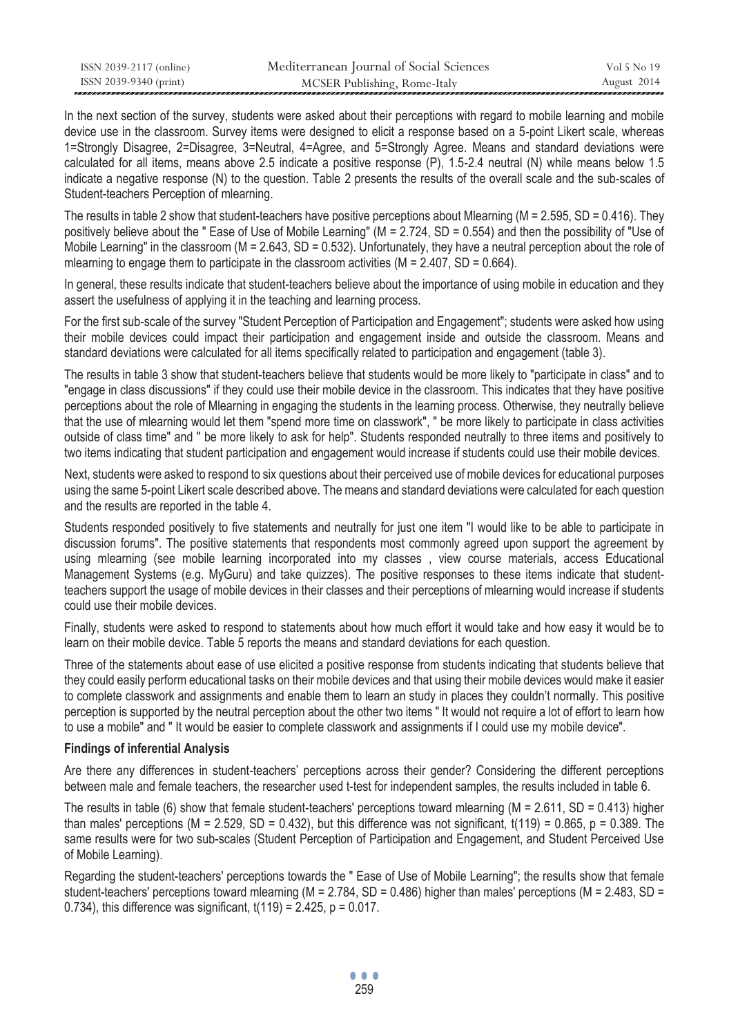| ISSN 2039-2117 (online) | Mediterranean Journal of Social Sciences | Vol 5 No 19 |
|-------------------------|------------------------------------------|-------------|
| ISSN 2039-9340 (print)  | MCSER Publishing, Rome-Italy             | August 2014 |

In the next section of the survey, students were asked about their perceptions with regard to mobile learning and mobile device use in the classroom. Survey items were designed to elicit a response based on a 5-point Likert scale, whereas 1=Strongly Disagree, 2=Disagree, 3=Neutral, 4=Agree, and 5=Strongly Agree. Means and standard deviations were calculated for all items, means above 2.5 indicate a positive response (P), 1.5-2.4 neutral (N) while means below 1.5 indicate a negative response (N) to the question. Table 2 presents the results of the overall scale and the sub-scales of Student-teachers Perception of mlearning.

The results in table 2 show that student-teachers have positive perceptions about Mlearning ( $M = 2.595$ ,  $SD = 0.416$ ). They positively believe about the " Ease of Use of Mobile Learning" (M = 2.724, SD = 0.554) and then the possibility of "Use of Mobile Learning" in the classroom ( $M = 2.643$ ,  $SD = 0.532$ ). Unfortunately, they have a neutral perception about the role of mlearning to engage them to participate in the classroom activities ( $M = 2.407$ , SD = 0.664).

In general, these results indicate that student-teachers believe about the importance of using mobile in education and they assert the usefulness of applying it in the teaching and learning process.

For the first sub-scale of the survey "Student Perception of Participation and Engagement"; students were asked how using their mobile devices could impact their participation and engagement inside and outside the classroom. Means and standard deviations were calculated for all items specifically related to participation and engagement (table 3).

The results in table 3 show that student-teachers believe that students would be more likely to "participate in class" and to "engage in class discussions" if they could use their mobile device in the classroom. This indicates that they have positive perceptions about the role of Mlearning in engaging the students in the learning process. Otherwise, they neutrally believe that the use of mlearning would let them "spend more time on classwork", " be more likely to participate in class activities outside of class time" and " be more likely to ask for help". Students responded neutrally to three items and positively to two items indicating that student participation and engagement would increase if students could use their mobile devices.

Next, students were asked to respond to six questions about their perceived use of mobile devices for educational purposes using the same 5-point Likert scale described above. The means and standard deviations were calculated for each question and the results are reported in the table 4.

Students responded positively to five statements and neutrally for just one item "I would like to be able to participate in discussion forums". The positive statements that respondents most commonly agreed upon support the agreement by using mlearning (see mobile learning incorporated into my classes , view course materials, access Educational Management Systems (e.g. MyGuru) and take quizzes). The positive responses to these items indicate that studentteachers support the usage of mobile devices in their classes and their perceptions of mlearning would increase if students could use their mobile devices.

Finally, students were asked to respond to statements about how much effort it would take and how easy it would be to learn on their mobile device. Table 5 reports the means and standard deviations for each question.

Three of the statements about ease of use elicited a positive response from students indicating that students believe that they could easily perform educational tasks on their mobile devices and that using their mobile devices would make it easier to complete classwork and assignments and enable them to learn an study in places they couldn't normally. This positive perception is supported by the neutral perception about the other two items " It would not require a lot of effort to learn how to use a mobile" and " It would be easier to complete classwork and assignments if I could use my mobile device".

### **Findings of inferential Analysis**

Are there any differences in student-teachers' perceptions across their gender? Considering the different perceptions between male and female teachers, the researcher used t-test for independent samples, the results included in table 6.

The results in table (6) show that female student-teachers' perceptions toward mlearning ( $M = 2.611$ , SD = 0.413) higher than males' perceptions ( $M = 2.529$ ,  $SD = 0.432$ ), but this difference was not significant,  $t(119) = 0.865$ ,  $p = 0.389$ . The same results were for two sub-scales (Student Perception of Participation and Engagement, and Student Perceived Use of Mobile Learning).

Regarding the student-teachers' perceptions towards the " Ease of Use of Mobile Learning"; the results show that female student-teachers' perceptions toward mlearning ( $M = 2.784$ , SD = 0.486) higher than males' perceptions ( $M = 2.483$ , SD = 0.734), this difference was significant,  $t(119) = 2.425$ ,  $p = 0.017$ .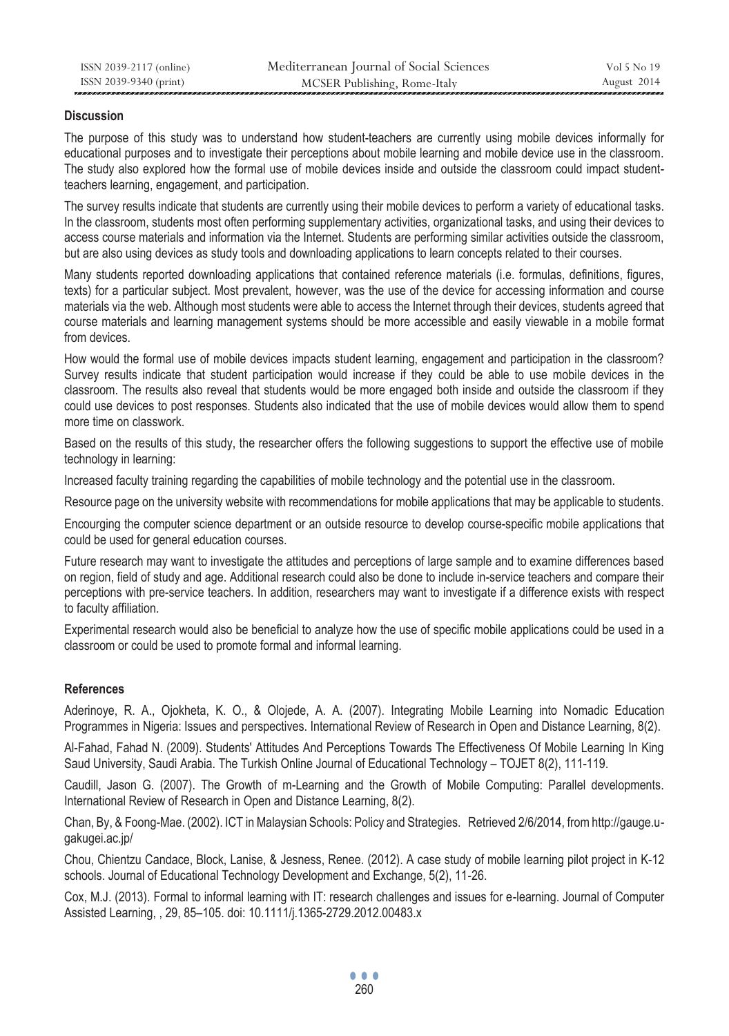### **Discussion**

The purpose of this study was to understand how student-teachers are currently using mobile devices informally for educational purposes and to investigate their perceptions about mobile learning and mobile device use in the classroom. The study also explored how the formal use of mobile devices inside and outside the classroom could impact studentteachers learning, engagement, and participation.

The survey results indicate that students are currently using their mobile devices to perform a variety of educational tasks. In the classroom, students most often performing supplementary activities, organizational tasks, and using their devices to access course materials and information via the Internet. Students are performing similar activities outside the classroom, but are also using devices as study tools and downloading applications to learn concepts related to their courses.

Many students reported downloading applications that contained reference materials (i.e. formulas, definitions, figures, texts) for a particular subject. Most prevalent, however, was the use of the device for accessing information and course materials via the web. Although most students were able to access the Internet through their devices, students agreed that course materials and learning management systems should be more accessible and easily viewable in a mobile format from devices.

How would the formal use of mobile devices impacts student learning, engagement and participation in the classroom? Survey results indicate that student participation would increase if they could be able to use mobile devices in the classroom. The results also reveal that students would be more engaged both inside and outside the classroom if they could use devices to post responses. Students also indicated that the use of mobile devices would allow them to spend more time on classwork.

Based on the results of this study, the researcher offers the following suggestions to support the effective use of mobile technology in learning:

Increased faculty training regarding the capabilities of mobile technology and the potential use in the classroom.

Resource page on the university website with recommendations for mobile applications that may be applicable to students.

Encourging the computer science department or an outside resource to develop course-specific mobile applications that could be used for general education courses.

Future research may want to investigate the attitudes and perceptions of large sample and to examine differences based on region, field of study and age. Additional research could also be done to include in-service teachers and compare their perceptions with pre-service teachers. In addition, researchers may want to investigate if a difference exists with respect to faculty affiliation.

Experimental research would also be beneficial to analyze how the use of specific mobile applications could be used in a classroom or could be used to promote formal and informal learning.

# **References**

Aderinoye, R. A., Ojokheta, K. O., & Olojede, A. A. (2007). Integrating Mobile Learning into Nomadic Education Programmes in Nigeria: Issues and perspectives. International Review of Research in Open and Distance Learning, 8(2).

Al-Fahad, Fahad N. (2009). Students' Attitudes And Perceptions Towards The Effectiveness Of Mobile Learning In King Saud University, Saudi Arabia. The Turkish Online Journal of Educational Technology – TOJET 8(2), 111-119.

Caudill, Jason G. (2007). The Growth of m-Learning and the Growth of Mobile Computing: Parallel developments. International Review of Research in Open and Distance Learning, 8(2).

Chan, By, & Foong-Mae. (2002). ICT in Malaysian Schools: Policy and Strategies. Retrieved 2/6/2014, from http://gauge.ugakugei.ac.jp/

Chou, Chientzu Candace, Block, Lanise, & Jesness, Renee. (2012). A case study of mobile learning pilot project in K-12 schools. Journal of Educational Technology Development and Exchange, 5(2), 11-26.

Cox, M.J. (2013). Formal to informal learning with IT: research challenges and issues for e-learning. Journal of Computer Assisted Learning, , 29, 85–105. doi: 10.1111/j.1365-2729.2012.00483.x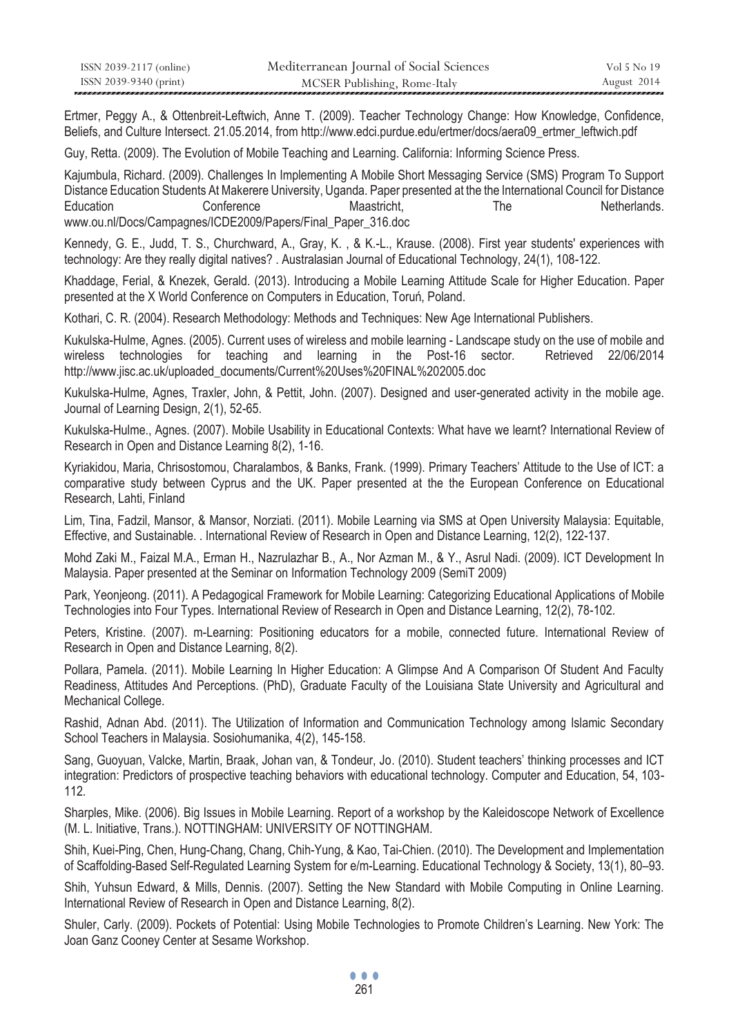| ISSN 2039-2117 (online) | Mediterranean Journal of Social Sciences | Vol 5 No 19 |
|-------------------------|------------------------------------------|-------------|
| ISSN 2039-9340 (print)  | MCSER Publishing, Rome-Italy             | August 2014 |

Ertmer, Peggy A., & Ottenbreit-Leftwich, Anne T. (2009). Teacher Technology Change: How Knowledge, Confidence, Beliefs, and Culture Intersect. 21.05.2014, from http://www.edci.purdue.edu/ertmer/docs/aera09\_ertmer\_leftwich.pdf

Guy, Retta. (2009). The Evolution of Mobile Teaching and Learning. California: Informing Science Press.

Kajumbula, Richard. (2009). Challenges In Implementing A Mobile Short Messaging Service (SMS) Program To Support Distance Education Students At Makerere University, Uganda. Paper presented at the the International Council for Distance Education Conference Maastricht, The Netherlands. www.ou.nl/Docs/Campagnes/ICDE2009/Papers/Final\_Paper\_316.doc

Kennedy, G. E., Judd, T. S., Churchward, A., Gray, K. , & K.-L., Krause. (2008). First year students' experiences with technology: Are they really digital natives? . Australasian Journal of Educational Technology, 24(1), 108-122.

Khaddage, Ferial, & Knezek, Gerald. (2013). Introducing a Mobile Learning Attitude Scale for Higher Education. Paper presented at the X World Conference on Computers in Education, Toruń, Poland.

Kothari, C. R. (2004). Research Methodology: Methods and Techniques: New Age International Publishers.

Kukulska-Hulme, Agnes. (2005). Current uses of wireless and mobile learning - Landscape study on the use of mobile and wireless technologies for teaching and learning in the Post-16 sector. Retrieved 22/06/2014 http://www.jisc.ac.uk/uploaded\_documents/Current%20Uses%20FINAL%202005.doc

Kukulska-Hulme, Agnes, Traxler, John, & Pettit, John. (2007). Designed and user-generated activity in the mobile age. Journal of Learning Design, 2(1), 52-65.

Kukulska-Hulme., Agnes. (2007). Mobile Usability in Educational Contexts: What have we learnt? International Review of Research in Open and Distance Learning 8(2), 1-16.

Kyriakidou, Maria, Chrisostomou, Charalambos, & Banks, Frank. (1999). Primary Teachers' Attitude to the Use of ICT: a comparative study between Cyprus and the UK. Paper presented at the the European Conference on Educational Research, Lahti, Finland

Lim, Tina, Fadzil, Mansor, & Mansor, Norziati. (2011). Mobile Learning via SMS at Open University Malaysia: Equitable, Effective, and Sustainable. . International Review of Research in Open and Distance Learning, 12(2), 122-137.

Mohd Zaki M., Faizal M.A., Erman H., Nazrulazhar B., A., Nor Azman M., & Y., Asrul Nadi. (2009). ICT Development In Malaysia. Paper presented at the Seminar on Information Technology 2009 (SemiT 2009)

Park, Yeonjeong. (2011). A Pedagogical Framework for Mobile Learning: Categorizing Educational Applications of Mobile Technologies into Four Types. International Review of Research in Open and Distance Learning, 12(2), 78-102.

Peters, Kristine. (2007). m-Learning: Positioning educators for a mobile, connected future. International Review of Research in Open and Distance Learning, 8(2).

Pollara, Pamela. (2011). Mobile Learning In Higher Education: A Glimpse And A Comparison Of Student And Faculty Readiness, Attitudes And Perceptions. (PhD), Graduate Faculty of the Louisiana State University and Agricultural and Mechanical College.

Rashid, Adnan Abd. (2011). The Utilization of Information and Communication Technology among Islamic Secondary School Teachers in Malaysia. Sosiohumanika, 4(2), 145-158.

Sang, Guoyuan, Valcke, Martin, Braak, Johan van, & Tondeur, Jo. (2010). Student teachers' thinking processes and ICT integration: Predictors of prospective teaching behaviors with educational technology. Computer and Education, 54, 103- 112.

Sharples, Mike. (2006). Big Issues in Mobile Learning. Report of a workshop by the Kaleidoscope Network of Excellence (M. L. Initiative, Trans.). NOTTINGHAM: UNIVERSITY OF NOTTINGHAM.

Shih, Kuei-Ping, Chen, Hung-Chang, Chang, Chih-Yung, & Kao, Tai-Chien. (2010). The Development and Implementation of Scaffolding-Based Self-Regulated Learning System for e/m-Learning. Educational Technology & Society, 13(1), 80–93.

Shih, Yuhsun Edward, & Mills, Dennis. (2007). Setting the New Standard with Mobile Computing in Online Learning. International Review of Research in Open and Distance Learning, 8(2).

Shuler, Carly. (2009). Pockets of Potential: Using Mobile Technologies to Promote Children's Learning. New York: The Joan Ganz Cooney Center at Sesame Workshop.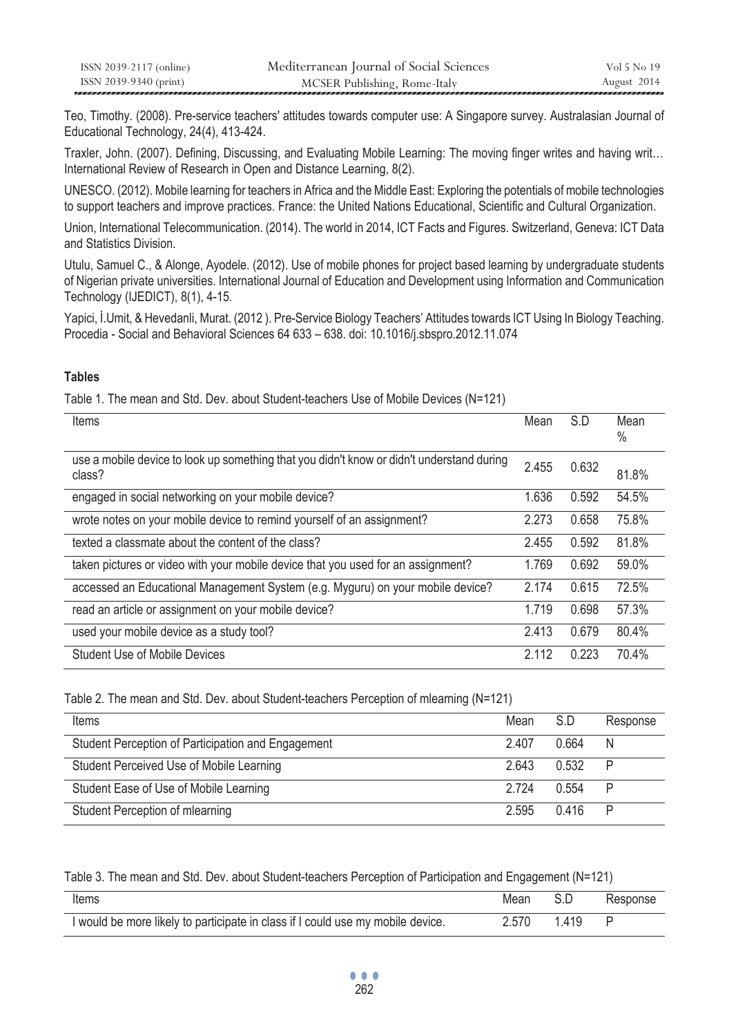| ISSN 2039-2117 (online) | Mediterranean Journal of Social Sciences | Vol 5 No 19 |
|-------------------------|------------------------------------------|-------------|
| ISSN 2039-9340 (print)  | MCSER Publishing, Rome-Italy             | August 2014 |

Teo, Timothy. (2008). Pre-service teachers' attitudes towards computer use: A Singapore survey. Australasian Journal of Educational Technology, 24(4), 413-424.

Traxler, John. (2007). Defining, Discussing, and Evaluating Mobile Learning: The moving finger writes and having writ… International Review of Research in Open and Distance Learning, 8(2).

UNESCO. (2012). Mobile learning for teachers in Africa and the Middle East: Exploring the potentials of mobile technologies to support teachers and improve practices. France: the United Nations Educational, Scientific and Cultural Organization.

Union, International Telecommunication. (2014). The world in 2014, ICT Facts and Figures. Switzerland, Geneva: ICT Data and Statistics Division.

Utulu, Samuel C., & Alonge, Ayodele. (2012). Use of mobile phones for project based learning by undergraduate students of Nigerian private universities. International Journal of Education and Development using Information and Communication Technology (IJEDICT), 8(1), 4-15.

Yapici, İ.Umit, & Hevedanli, Murat. (2012 ). Pre-Service Biology Teachers' Attitudes towards ICT Using In Biology Teaching. Procedia - Social and Behavioral Sciences 64 633 – 638. doi: 10.1016/j.sbspro.2012.11.074

# **Tables**

Table 1. The mean and Std. Dev. about Student-teachers Use of Mobile Devices (N=121)

| Items                                                                                               | Mean  | S.D   | Mean<br>$\%$ |
|-----------------------------------------------------------------------------------------------------|-------|-------|--------------|
| use a mobile device to look up something that you didn't know or didn't understand during<br>class? | 2.455 | 0.632 | 81.8%        |
| engaged in social networking on your mobile device?                                                 | 1.636 | 0.592 | 54.5%        |
| wrote notes on your mobile device to remind yourself of an assignment?                              | 2.273 | 0.658 | 75.8%        |
| texted a classmate about the content of the class?                                                  | 2.455 | 0.592 | 81.8%        |
| taken pictures or video with your mobile device that you used for an assignment?                    | 1.769 | 0.692 | 59.0%        |
| accessed an Educational Management System (e.g. Myguru) on your mobile device?                      | 2.174 | 0.615 | 72.5%        |
| read an article or assignment on your mobile device?                                                | 1.719 | 0.698 | 57.3%        |
| used your mobile device as a study tool?                                                            | 2.413 | 0.679 | 80.4%        |
| <b>Student Use of Mobile Devices</b>                                                                | 2.112 | 0.223 | 70.4%        |

Table 2. The mean and Std. Dev. about Student-teachers Perception of mlearning (N=121)

| Items                                              | Mean    | S.D   | Response |
|----------------------------------------------------|---------|-------|----------|
| Student Perception of Participation and Engagement | 2.407   | 0.664 | N        |
| Student Perceived Use of Mobile Learning           | 2.643   | 0.532 | P        |
| Student Ease of Use of Mobile Learning             | 2 7 2 4 | 0.554 | P        |
| Student Perception of mlearning                    | 2.595   | በ 416 | P        |

Table 3. The mean and Std. Dev. about Student-teachers Perception of Participation and Engagement (N=121)

| Items                                                                           | Mean  |      | Response |
|---------------------------------------------------------------------------------|-------|------|----------|
| I would be more likely to participate in class if I could use my mobile device. | 2.570 | 1419 |          |